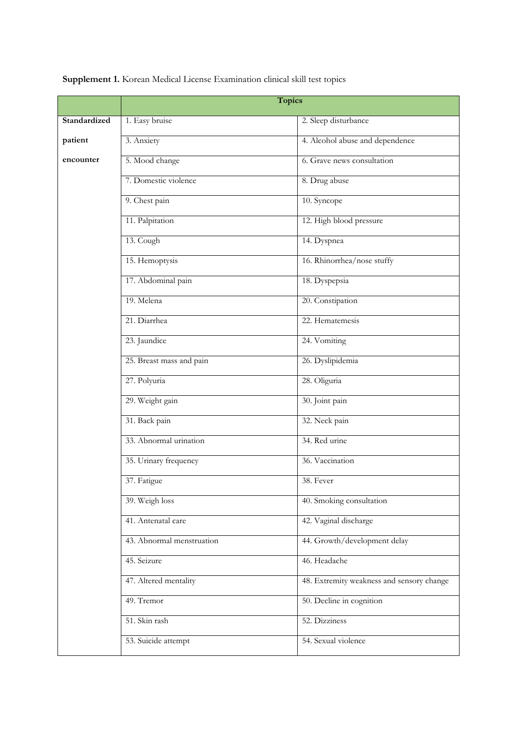|              | <b>Topics</b>             |                                           |
|--------------|---------------------------|-------------------------------------------|
| Standardized | 1. Easy bruise            | 2. Sleep disturbance                      |
| patient      | 3. Anxiety                | 4. Alcohol abuse and dependence           |
| encounter    | 5. Mood change            | 6. Grave news consultation                |
|              | 7. Domestic violence      | 8. Drug abuse                             |
|              | 9. Chest pain             | 10. Syncope                               |
|              | 11. Palpitation           | 12. High blood pressure                   |
|              | 13. Cough                 | 14. Dyspnea                               |
|              | 15. Hemoptysis            | 16. Rhinorrhea/nose stuffy                |
|              | 17. Abdominal pain        | 18. Dyspepsia                             |
|              | 19. Melena                | 20. Constipation                          |
|              | 21. Diarrhea              | 22. Hematemesis                           |
|              | 23. Jaundice              | 24. Vomiting                              |
|              | 25. Breast mass and pain  | 26. Dyslipidemia                          |
|              | 27. Polyuria              | 28. Oliguria                              |
|              | 29. Weight gain           | 30. Joint pain                            |
|              | 31. Back pain             | 32. Neck pain                             |
|              | 33. Abnormal urination    | 34. Red urine                             |
|              | 35. Urinary frequency     | 36. Vaccination                           |
|              | 37. Fatigue               | 38. Fever                                 |
|              | 39. Weigh loss            | 40. Smoking consultation                  |
|              | 41. Antenatal care        | 42. Vaginal discharge                     |
|              | 43. Abnormal menstruation | 44. Growth/development delay              |
|              | 45. Seizure               | 46. Headache                              |
|              | 47. Altered mentality     | 48. Extremity weakness and sensory change |
|              | 49. Tremor                | 50. Decline in cognition                  |
|              | 51. Skin rash             | 52. Dizziness                             |
|              | 53. Suicide attempt       | 54. Sexual violence                       |

**Supplement 1.** Korean Medical License Examination clinical skill test topics